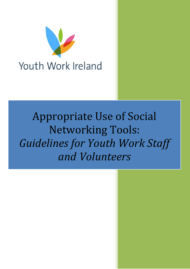

# Appropriate Use of Social Networking Tools: *Guidelines for Youth Work Staff and Volunteers*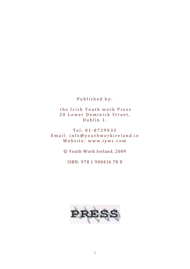Published by:

 the Irish Youth work Press 20 Lower Dominick Street, Dublin 1.

Tel: 01‐8729933 Email: info@youthworkireland.ie Website: www.iywc.com

© Youth Work Ireland, 2009

ISBN: 978 1 900416 78 8

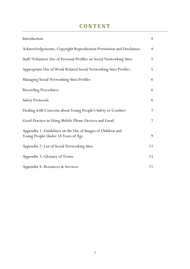# **CONTENT**

| Introduction                                                                                      | $\overline{4}$ |
|---------------------------------------------------------------------------------------------------|----------------|
| Acknowledgements, Copyright Reproduction Permission and Disclaimer                                | $\overline{4}$ |
| Staff/Volunteer Use of Personal Profiles on Social Networking Sites                               | 5              |
| Appropriate Use of Work Related Social Networking Sites Profiles                                  | 5              |
| Managing Social Networking Sites Profiles                                                         | 6              |
| <b>Recording Procedures</b>                                                                       | 6              |
| <b>Safety Protocols</b>                                                                           | 6              |
| Dealing with Concerns about Young People's Safety or Conduct                                      | 7              |
| Good Practice in Using Mobile Phone Devices and Email                                             | 7              |
| Appendix 1: Guidelines on the Use of Images of Children and<br>Young People Under 18 Years of Age | 9              |
| Appendix 2: List of Social Networking Sites                                                       | 11             |
| Appendix 3: Glossary of Terms                                                                     | 15             |
| Appendix 4: Resources & Services                                                                  | 21             |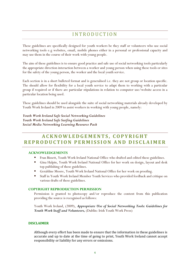### INTRODUCTION

These guidelines are specifically designed for youth workers be they staff or volunteers who use social networking tools e.g websites, email, mobile phones either in a personal or professional capacity and may use them in the course of their work with young people.

The aim of these guidelines is to ensure good practice and safe use of social networking tools particularly the appropriate direction interaction between a worker and young person when using these tools or sites for the safety of the young person, the worker and the local youth service.

Each section is in a short bulleted format and is generalised i.e. they are not group or location specific. The should allow for flexibility for a local youth service to adapt them to working with a particular group if required or if there are particular stipulations in relation to computer use/website access in a particular location being used.

These guidelines should be used alongside the suite of social networking materials already developed by Youth Work Ireland in 2009 to assist workers in working with young people, namely:

*Youth Work Ireland Safe Social Networking Guidelines Youth Work Ireland Safe Surfing Guidelines Social Media Networking Learning Resource Pack* 

### **ACKNOWLEDGEMENTS, COPYRIGHT REPRODUCTION PERMISSION AND DISCLAIMER**

#### **ACKNOWLEDGEMENTS**

- Fran Bissett, Youth Work Ireland National Office who drafted and edited these guidelines.
- Gina Halpin, Youth Work Ireland National Office for her work on design, layout and desk top publishing of these guidelines.
- Geraldine Moore, Youth Work Ireland National Office for her work on proofing.
- Staff in Youth Work Ireland Member Youth Services who provided feedback and critique on various drafts of these guidelines.

#### **COPYRIGHT REPRODUCTION PERMISSION**

Permission is granted to photocopy and/or reproduce the content from this publication providing the source is recognised as follows:

Youth Work Ireland, (2009), *Appropriate Use of Social Networking Tools: Guidelines for Youth Work Staff and Volunteers,* (Dublin: Irish Youth Work Press)

#### **DISCLAIMER**

Although every effort has been made to ensure that the information in these guidelines is accurate and up to date at the time of going to print, Youth Work Ireland cannot accept responsibility or liability for any errors or omissions.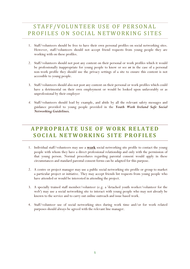# STAFF/VOLUNTEER USE OF PERSONAL PROFILES ON SOCIAL NETWORKING SITES

- 1. Staff/volunteers should be free to have their own personal profiles on social networking sites. However, staff/volunteers should not accept friend requests from young people they are working with on these profiles.
- 2. Staff/volunteers should not post any content on their personal or work profiles which it would be professionally inappropriate for young people to know or see *or* in the case of a personal non-work profile they should use the privacy settings of a site to ensure this content is not accessible to young people.
- 3. Staff/volunteers should also not post any content on their personal or work profiles which could have a detrimental on their own employment or would be looked upon unfavorably or as unprofessional by their employer
- *4.* Staff/volunteers should lead by example, and abide by all the relevant safety messages and guidance provided to young people provided in the *Youth Work Ireland Safe Social Networking Guidelines.*

# **APPROPRIATE USE OF WORK RELATED SOCIAL NETWORKING SITE PROFILES**

- 1. Individual staff/volunteers may use a **work** social networking site profile to contact the young people with whom they have a direct professional relationship and only with the permission of that young person. Normal procedures regarding parental consent would apply in these circumstances and standard parental consent forms can be adapted for this purpose.
- 2. A centre or project manager may use a public social networking site profile or group to market a particular project or initiative. They may accept friends list requests from young people who have attended or would be interested in attending the project.
- 3. A specially trained staff member/volunteer (e.g. a 'detached youth worker/volunteer for the web') may use a social networking site to interact with young people who may not already be known to the service and to carry out online outreach and issue based work.
- 4. Staff/volunteer use of social networking sites during work time and/or for work related purposes should always be agreed with the relevant line manager.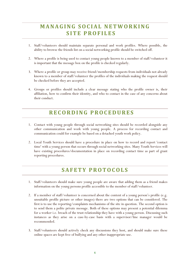# **MANAGING SOCIAL NETWORKING SITE PROFILES**

- 1. Staff/volunteers should maintain separate personal and work profiles. Where possible, the ability to browse the friends list on a social networking profile should be switched off.
- 2. Where a profile is being used to contact young people known to a member of staff/volunteer it is important that the message box on the profile is checked regularly.
- 3. Where a profile or group may receive friend/membership requests from individuals not already known to a member of staff/volunteer the profiles of the individuals making the request should be checked before they are accepted.
- 4. Groups or profiles should include a clear message stating who the profile owner is, their affiliation, how to confirm their identity, and who to contact in the case of any concerns about their conduct.

### **RECORDING PROCEDURES**

- 1. Contact with young people through social networking sites should be recorded alongside any other communication and work with young people. A process for recording contact and communication could for example be based on a detached youth work policy.
- 2. Local Youth Services should have a procedure in place on how to record and report 'contact time' with a young person that occurs through social networking sites. Many Youth Services will have existing procedures/documentation in place on recording contact time as part of grant reporting procedures.

# **SAFETY PROTOCOLS**

- 1. Staff/volunteers should make sure young people are aware that adding them as a friend makes information on the young persons profile accessible to the member of staff/volunteer.
- 2. If a member of staff/volunteer is concerned about the content of a young person's profile (e.g. unsuitable profile picture or other images) there are two options that can be considered. The first is to use the reporting/complaints mechanisms of the site in question. The second option is to send them a polite private message. Both of these options may present a potential dilemma for a worker i.e. breach of the trust relationship they have with a young person. Discussing such instances as they arise on a case-by-case basis with a supervisor/line manager would be recommended.
- 3. Staff/volunteers should actively check any discussions they host, and should make sure these online spaces are kept free of bullying and any other inappropriate use.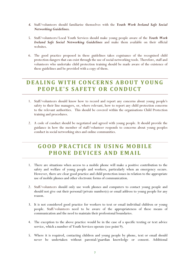- *4.* Staff/volunteers should familiarise themselves with the *Youth Work Ireland Safe Social Networking Guidelines.*
- 5. Staff/volunteers/Local Youth Services should make young people aware of the *Youth Work Ireland Safe Social Networking Guidelines* and make them available on their official websites.
- 6. The good practice proposed in these guidelines takes cognisance of the recognised child protection dangers that can exist through the use of social networking tools. Therefore, staff and volunteers who undertake child protection training should be made aware of the existence of these guidelines and be provided with a copy of them.

## **DEALING WITH CONCERNS ABOUT YOUNG PEOPLE'S SAFETY OR CONDUCT**

- 1. Staff/volunteers should know how to record and report any concerns about young people's safety to their line managers, or, where relevant, how to report any child protection concerns to the relevant authorities. This should be covered within the organisations Child Protection training and procedures.
- 2. A code of conduct should be negotiated and agreed with young people. It should provide the guidance in how the member of staff/volunteer responds to concerns about young peoples conduct in social networking sites and online communities.

# **GOOD PRACTICE IN USING MOBILE PHONE DEVICES AND EMAIL**

- 1. There are situations when access to a mobile phone will make a positive contribution to the safety and welfare of young people and workers, particularly when an emergency occurs. However, there are clear good practice and child protection issues in relation to the appropriate use of mobile phones and other electronic forms of communication.
- 2. Staff/volunteers should only use work phones and computers to contact young people and should not give out their personal/private number(s) or email address to young people for any reason.
- 3. It is not considered good practice for workers to text or email individual children or young people. Staff/volunteers need to be aware of the appropriateness of these means of communication and the need to maintain their professional boundaries.
- 4. The exception to the above practice would be in the case of a specific texting or text advice service, which a number of Youth Services operate (see point 9).
- 5. Where it is required, contacting children and young people by phone, text or email should never be undertaken without parental/guardian knowledge or consent. Additional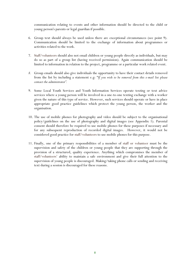communication relating to events and other information should be directed to the child or young person's parents or legal guardian if possible.

- 6. Group text should always be used unless there are exceptional circumstances (see point 9). Communication should be limited to the exchange of information about programmes or activities related to the work.
- 7. Staff/volunteers should also not email children or young people directly as individuals, but may do so as part of a group list (having received permission). Again communication should be limited to information in relation to the project, programme or a particular work related event.
- *8.* Group emails should also give individuals the opportunity to have their contact details removed from the list by including a statement e.g: "*If you wish to be removed from this e-mail list please contact the administrator".*
- 9. Some Local Youth Services and Youth Information Services operate texting or text advice services where a young person will be involved in a one-to-one texting exchange with a worker given the nature of this type of service. However, such services should operate or have in place appropriate good practice guidelines which protect the young person, the worker and the organisation.
- 10. The use of mobile phones for photography and video should be subject to the organisational policy/guidelines on the use of photography and digital images (see Appendix 1). Parental consent should therefore be required to use mobile phones for these purposes if necessary and for any subsequent reproduction of recorded digital images. However, it would not be considered good practice for staff/volunteers to use mobile phones for this purpose.
- 11. Finally, one of the primary responsibilities of a member of staff or volunteer must be the supervision and safety of the children or young people that they are supporting through the provision of a structured, quality experience. Anything which compromises the member of staff/volunteers' ability to maintain a safe environment and give their full attention to the supervision of young people is discouraged. Making/taking phone calls or sending and receiving text during a session is discouraged for these reasons.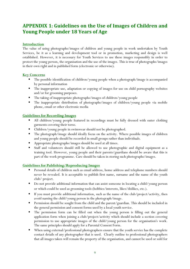### **APPENDIX 1: Guidelines on the Use of Images of Children and Young People under 18 Years of Age**

#### **Introduction**

The value of using photographs/images of children and young people in work undertaken by Youth Services, be it as a learning and development tool or in promotion, marketing and design is well established. However, it is necessary for Youth Services to use these images responsibly in order to protect the young person, the organisation and the use of the images. This is true of photographs/images in their own right and in published form (electronic or otherwise).

#### **Key Concerns**

- The possible identification of children/young people when a photograph/image is accompanied by personal information
- The inappropriate use, adaptation or copying of images for use on child pornography websites and/or for grooming purposes.
- The taking of inappropriate photographs/images of children/young people
- The inappropriate distribution of photographs/images of children/young people via mobile phone, email or other electronic media

#### **Guidelines for Recording Images**

- All children/young people featured in recordings must be fully dressed with outer clothing garments covering their torso.
- Children/young people in swimwear should not be photographed.
- The photograph/image should ideally focus on the activity. Where possible images of children and young people should be recorded in small groups rather than individuals.
- Appropriate photographs/images should be used at all times.
- Staff and volunteers should still be allowed to use photographic and digital equipment as a training tool. However, young people and their parents/guardians should be aware that this is part of the work programme. Care should be taken in storing such photographs/images.

#### **Guidelines for Publishing/Reproducing Images**

- Personal details of children such as email address, home address and telephone numbers should never be revealed. It is acceptable to publish first name, surname and the name of the youth club/ project.
- Do not provide additional information that can assist someone in locating a child/young person or which could be used as grooming tools (hobbies/interests, likes/dislikes, etc.).
- If you must provide additional information, such as the name of the club/project/activity, then avoid naming the child/young person in the photograph/image.
- **Permission should be sought from the child and the parent/guardian. This should be included in** the general permission and consent forms used by a local youth service.
- The permission form can be filled out when the young person is filling out the general application form when joining a club/project/activity which should include a section covering permission to use appropriate images of the child/young person for the organisation's work. The same principles should apply for a Parental Consent Form.
- When using external/professional photographers ensure that the youth service has the complete contact details of any photographer that is used. Clearly outline to professional photographers that all images taken will remain the property of the organisation, and cannot be used or sold for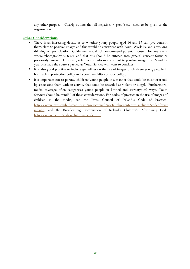any other purpose. Clearly outline that all negatives / proofs etc. need to be given to the organisation.

#### **Other Considerations**

- There is an increasing debate as to whether young people aged 16 and 17 can give consent themselves to positive images and this would be consistent with Youth Work Ireland's evolving thinking on participation. Guidelines would still recommend parental consent for any event where photography is taken and that this should be stitched into general consent forms as previously covered. However, reference to informed consent to positive images by 16 and 17 year olds may the route a particular Youth Service will want to consider.
- It is also good practice to include guidelines on the use of images of children/young people in both a child protection policy and a confidentiality/privacy policy.
- It is important not to portray children/young people in a manner that could be misinterpreted by associating them with an activity that could be regarded as violent or illegal. Furthermore, media coverage often categorises young people in limited and stereotypical ways. Youth Services should be mindful of these considerations. For codes of practice in the use of images of children in the media, see the Press Council of Ireland's Code of Practice: http://www.pressombudsman.ie/v2/presscouncil/portal.php?content=\_includes/codeofpract ice.php, and the Broadcasting Commission of Ireland's Children's Advertising Code http://www.bci.ie/codes/childrens\_code.html.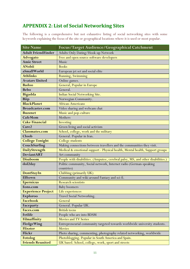### **APPENDIX 2: List of Social Networking Sites**

The following is a comprehensive but not exhaustive listing of social networking sites with some keywords explaining the focus of the site or geographical locations where it is used or most popular.

| <b>Site Name</b>          | Focus/Target Audience/Geographical Catchment                                     |
|---------------------------|----------------------------------------------------------------------------------|
| <b>Adult FriendFinder</b> | Adults Only Dating/Hook-up Network                                               |
| <b>Advogato</b>           | Free and open source software developers                                         |
| <b>Amie Street</b>        | Music                                                                            |
| <b>ANobii</b>             | <b>Books</b>                                                                     |
| aSmallWorld               | European jet set and social elite                                                |
| <b>Athlinks</b>           | Running, Swimming                                                                |
| <b>Avatars United</b>     | Online games.                                                                    |
| <b>Badoo</b>              | General, Popular in Europe                                                       |
| <b>Bebo</b>               | General.                                                                         |
| <b>Bigadda</b>            | Indian Social Networking Site.                                                   |
| <b>Biip</b>               | Norwegian Community.                                                             |
| <b>BlackPlanet</b>        | <b>African-Americans</b>                                                         |
| <b>Broadcaster.com</b>    | Video sharing and webcam chat                                                    |
| <b>Buzznet</b>            | Music and pop-culture                                                            |
| <b>CafeMom</b>            | Mothers                                                                          |
| <b>Cake Financial</b>     | Investing                                                                        |
| Care2                     | Green living and social activism                                                 |
| <b>Classmates.com</b>     | School, college, work and the military                                           |
| Cloob                     | General. Popular in Iran.                                                        |
| <b>College Tonight</b>    | College students                                                                 |
| CouchSurfing              | Making connections between travellers and the communities they visit.            |
| DailyStrength             | Medical & emotional support - Physical health, Mental health, Support groups     |
| <b>DeviantART</b>         | Art community                                                                    |
| <b>Disaboom</b>           | People with disabilities. (Amputee, cerebral palsy, MS, and other disabilities.) |
| dol2day                   | Politic community, Social network, Internet radio (German-speaking               |
|                           | countries)                                                                       |
| DontStayIn                | Clubbing (primarily UK)                                                          |
| Elftown                   | Community and wiki around Fantasy and sci-fi.                                    |
| <b>Epernicus</b>          | <b>Research scientists</b>                                                       |
| Eons.com                  | <b>Baby boomers</b>                                                              |
| <b>Experience Project</b> | Life experiences                                                                 |
| Exploroo                  | Travel Social Networking.                                                        |
| <b>Facebook</b>           | General                                                                          |
| Faceparty                 | General. Popular UK.                                                             |
| <b>Faces.com</b>          | <b>British teens</b>                                                             |
| Fetlife                   | People who are into BDSM                                                         |
| Filmaffinity              | <b>Movies and TV Series</b>                                                      |
| FledgeWing                | Entrepreneurial community targeted towards worldwide university students.        |
| <b>Flixster</b>           | <b>Movies</b>                                                                    |
| Flickr                    | Photo sharing, commenting, photography related networking, worldwide             |
| <b>Fotolog</b>            | Photoblogging. Popular in South America and Spain.                               |
| <b>Friends Reunited</b>   | UK based. School, college, work, sport and streets                               |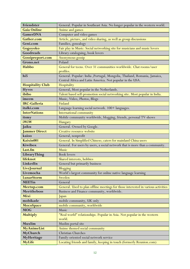| Friendster                     | General. Popular in Southeast Asia. No longer popular in the western world.       |
|--------------------------------|-----------------------------------------------------------------------------------|
| <b>Gaia Online</b>             | Anime and games                                                                   |
| <b>GamerDNA</b>                | Computer and video games                                                          |
| <b>Gather.com</b>              | Article, picture, and video sharing, as well as group discussions                 |
| Geni.com                       | Families, genealogy                                                               |
| Gogoyoko                       | Fair play in Music: Social networking site for musicians and music lovers         |
| Goodreads                      | Library cataloguing, book lovers                                                  |
| Gossipreport.com               | Anonymous gossip                                                                  |
| Grono.net                      | Poland                                                                            |
| Habbo                          | General for teens. Over 31 communities worldwide. Chat rooms/user                 |
|                                | profiles.                                                                         |
| hi5                            | General. Popular: India , Portugal, Mongolia, Thailand, Romania, Jamaica,         |
|                                | Central Africa and Latin America. Not popular in the USA.                         |
| <b>Hospitality Club</b>        | Hospitality                                                                       |
| <b>Hyves</b>                   | General, Most popular in the Netherlands.                                         |
| ibibo                          | Talent based self-promotion social networking site. Most popular in India.        |
| imeem                          | Music, Video, Photos, Blogs                                                       |
| <b>IRC-Galleria</b>            | Finland                                                                           |
| italki.com                     | Language learning social network. 100+ languages.                                 |
| <b>InterNations</b>            | International community                                                           |
| itsmy                          | Mobile community worldwide, blogging, friends, personal TV-shows                  |
| iWiW                           | Hungary                                                                           |
| Jaiku                          | General. Owned by Google.                                                         |
| <b>Jammer Direct</b>           | Creative resource website                                                         |
| kaioo                          | General, nonprofit                                                                |
| Kaixin001                      | General. In Simplified Chinese; caters for mainland China users                   |
| Kiwibox                        | General. For users by users, a social network that is more than a community.      |
| Last.fm                        | <b>Music</b>                                                                      |
| LibraryThing                   | <b>Book</b> lovers                                                                |
| lifeknot                       | Shared interests, hobbies                                                         |
| LinkedIn                       | General but primarily business                                                    |
| LiveJournal                    | Blogging                                                                          |
| Livemocha                      | World's largest community for online native language learning                     |
| <b>LunarStorm</b>              | Sweden                                                                            |
| <b>MEETin</b>                  | General                                                                           |
| Meetup.com                     | General. Used to plan offline meetings for those interested in various activities |
| <b>Meettheboss</b>             | Business and Finance community, worldwide.                                        |
| Mixi<br>mobikade               | Japan                                                                             |
|                                | mobile community, UK only                                                         |
| <b>MocoSpace</b><br><b>MOG</b> | mobile community, worldwide<br>Music                                              |
| <b>Multiply</b>                | "Real world" relationships. Popular in Asia. Not popular in the western           |
|                                | world.                                                                            |
| Muxlim                         | Muslim portal site                                                                |
| <b>MyAnimeList</b>             | Anime themed social community                                                     |
| MyChurch                       | Christian Churches                                                                |
| MyHeritage                     | Family-oriented social network service                                            |
| <b>MyLife</b>                  | Locating friends and family, keeping in touch (formerly Reunion.com)              |
|                                |                                                                                   |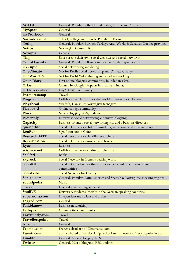| <b>MyLOL</b>        | General. Popular in the United States, Europe and Australia.                 |
|---------------------|------------------------------------------------------------------------------|
| <b>MySpace</b>      | General.                                                                     |
| myYearbook          | General                                                                      |
| Nasza-klasa.pl      | School, college and friends. Popular in Poland.                              |
| <b>Netlog</b>       | General. Popular: Europe, Turkey, Arab World & Canada's Québec province.     |
| <b>Nettby</b>       | Norwegian Community.                                                         |
| Nexopia             | Canada                                                                       |
| <b>Ning</b>         | Users create their own social websites and social networks                   |
| Odnoklassniki       | General. Popular in Russia and former Soviet republics                       |
| <b>OkCupid</b>      | Social networking and dating                                                 |
| OneClimate          | Not for Profit Social networking and Climate Change                          |
| <b>OneWorldTV</b>   | Not for Profit Video sharing and social networking                           |
| <b>Open Diary</b>   | First online blogging community, founded in 1998.                            |
| Orkut               | Owned by Google. Popular in Brazil and India.                                |
| OUTeverywhere       | Gay/LGBT Community                                                           |
| Passportstamp       | <b>Travel</b>                                                                |
| Pingsta             | Collaborative platform for the world's Internetwork Experts                  |
| Playahead           | Swedish, Danish, & Norwegian teenagers                                       |
| Playboy U           | Online college community                                                     |
| Plurk               | Micro-blogging, RSS, updates                                                 |
| Present.ly          | Enterprise social networking and micro-blogging                              |
| Qapacity            | Business-oriented social networking site and a business directory            |
| quarterlife         | Social network for artists, filmmakers, musicians, and creative people       |
| <b>RenRen</b>       | Significant site in China.                                                   |
| <b>ResearchGATE</b> | Social network for scientific researchers                                    |
| <b>Reverbnation</b> | Social network for musician and bands                                        |
| <b>Ryze</b>         | <b>Business</b>                                                              |
| scispace.net        | Collaborative network site for scientists                                    |
| Shelfari            | <b>Books</b>                                                                 |
| <b>Skyrock</b>      | Social Network in French-speaking world                                      |
| <b>SocialGO</b>     | Social network builder that allows users to build their own online           |
|                     | communities                                                                  |
| <b>SocialVibe</b>   | Social Network for Charity                                                   |
| Sonico.com          | General. Popular: Latin America and Spanish & Portuguese speaking regions.   |
| Soundpedia          | <b>Music</b>                                                                 |
| <b>Stickam</b>      | Live video streaming and chat.                                               |
| <b>StudiVZ</b>      | University students, mostly in the German-speaking countries.                |
| Supernova.com       | Independent music fans and artists.                                          |
| Tagged.com          | General                                                                      |
| Talkbiznow          | Business networking                                                          |
| <b>Taltopia</b>     | Online artistic community                                                    |
| TravBuddy.com       | Travel                                                                       |
| Travellerspoint     | <b>Travel</b>                                                                |
| tribe.net           | General                                                                      |
| Trombi.com          | French subsidiary of Classmates.com                                          |
| Tuenti.com          | Spanish-based university & high school social network. Very popular in Spain |
| Tumblr              | General. Micro-blogging, RSS                                                 |
| <b>Twitter</b>      | General. Micro-blogging, RSS, updates                                        |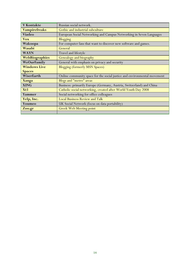| V Kontakte          | Russian social network.                                                  |
|---------------------|--------------------------------------------------------------------------|
| Vampirefreaks       | Gothic and industrial subculture                                         |
| Viadeo              | European Social Networking and Campus Networking in Seven Languages      |
| <b>Vox</b>          | <b>Blogging</b>                                                          |
| Wakoopa             | For computer fans that want to discover new software and games.          |
| Wasabi              | General                                                                  |
| <b>WAYN</b>         | Travel and lifestyle                                                     |
| WebBiographies      | Genealogy and biography                                                  |
| WeOurFamily         | General with emphasis on privacy and security                            |
| <b>Windows Live</b> | <b>Blogging (formerly MSN Spaces)</b>                                    |
| <b>Spaces</b>       |                                                                          |
| WiserEarth          | Online community space for the social justice and environmental movement |
| <b>Xanga</b>        | Blogs and "metro" areas                                                  |
| <b>XING</b>         | Business: primarily Europe (Germany, Austria, Switzerland) and China     |
| Xt3                 | Catholic social networking, created after World Youth Day 2008           |
| Yammer              | Social networking for office colleagues                                  |
| Yelp, Inc.          | <b>Local Business Review and Talk</b>                                    |
| Youmeo              | UK Social Network (focus on data portability)                            |
| Zoo.gr              | <b>Greek Web Meeting point</b>                                           |
|                     |                                                                          |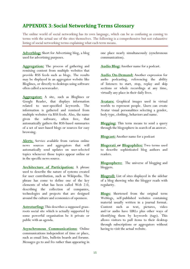### **APPENDIX 3: Social Networking Terms Glossary**

The online world of social networking has its own language, which can be as confusing as coming to terms with the actual use of the sites themselves. The following is a comprehensive but not exhaustive listing of social networking terms explaining what each term means.

**Adverblog:** Short for Advertising blog, a blog used for advertising purposes.

**Aggregation:** The process of gathering and remixing content from multiple websites that provide RSS feeds such as blogs. The results may be displayed in an aggregator website like Bloglines, or directly to desktops using software often called a newsreader.

**Aggregator:** A site, such as Bloglines or Google Reader, that displays information related to user-specified keywords. The information is gathered and remixed from multiple websites via RSS feeds. Also, the name given the software, often free, that automatically gathers the RSS-based summaries of a set of user-based blogs or sources for easy browsing.

**Alerts**: Service available from various online news sources and aggregators that will automatically send updates on user-selected topics whenever those topics appear online or in the specific news source.

**Architecture of Participation:** A phrase used to describe the nature of systems created for user contribution, such as Wikipedia. The phrase has come to define one of the key elements of what has been called Web 2.0, describing the collection of companies, technologies and projects that are designed around the culture and economics of openness.

**Astroturfing:** This describes a supposed grassroots social site which is actually supported by some powerful organisation be it private or public with an agenda.

**Asynchronous Communications:** Online communications independent of time or place, such as email lists, bulletin boards and forums. Messages go to and fro rather than appearing in one place nearly simultaneously (synchronous communication).

**Audio Blog:** Another name for a podcast.

**Audio On-Demand:** Another expression for audio podcasting, referencing the ability of listeners to start, stop, replay and skip sections or whole recordings at any time, virtually any place in their daily lives.

**Avatars:** Graphical images used in virtual worlds to represent people. Users can create Avatar visual personalities selecting a gender, body type, clothing, behaviors and name.

**Blegging:** This term means to send a query through the blogosphere in search of an answer.

**Blogcast:** Another name for a podcast

**Blogerati or Blogophiles:** Two terms used to describe sophisticated blog authors and readers.

**Blogosphere:** The universe of blogging and bloggers.

**Blogroll:** List of sites displayed in the sidebar of a blog showing who the blogger reads with regularity.

**Blogs:** Shortened from the original term Weblogs, self-published websites containing material usually written in a journal format. Content such as text, pictures, video and/or audio have URLs plus other ways of identifying them by keywords (tags). This allows visitors to pull items to their desktop through subscriptions or aggregators without having to visit the actual website.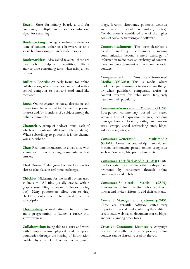**Board**: Short for mixing board, a tool for combining multiple audio sources into one signal for recording.

**Bookmarking:** Saving a website address or item of content, either in a browser, or on a social bookmarking site such as del.icio.us.

**Bookmarklets:** Also called favelets, these are free tools to help with repetitive, difficult and/or time-consuming tasks when using a web browser.

**Bulletin Boards:** An early forum for online collaboration, where users are connected with a central computer to post and read email-like messages.

**Buzz:** Online chatter or social discussion and interaction characterized by frequent expressed interest and/or mentions of a subject among the online community.

**Channel:** A group of podcast items, each of which represents one MP3 audio file (or show). When subscribing to podcasts, it is the channel you subscribe to.

**Chat:** Real time interaction on a web site, with a number of people adding comments via text entries.

**Chat Room:** A designated online location for chat to take place in real-time exchanges.

**Chicklet:** Nickname for the small buttons used as links to RSS files (usually orange with a graphic resembling waves or ripples expanding out). Many podcatchers allow you to drag chicklets onto them to quickly add a subscription.

**Clodpasting:** A weak attempt to use online audio programming to launch a career into show business.

**Collaboration:** Being able to discuss and work with people across physical and temporal boundaries through the sharing of information enabled by a variety of online media (email, blogs, forums, chatrooms, podcasts, websites and various social networking sites). Collaboration is considered one of the higher goals of social networking and software.

**Communitainment:** This term describes a trend involving consumers moving communication beyond a mere exchange of information to facilitate an exchange of content, ideas, and entertainment within an online social context.

**Compensated Consumer-Generated Media (CCGM):** This is media where marketers pay consumers to do certain things, or when publishers compensate artists or content creators for submissions frequently based on their popularity.

**Consumer-Generated Media (CGM):** First-person commentary posted or shared across a host of expression venues, including message boards, forums, rating and review sites, groups, social networking sites, blogs, video-sharing sites, etc.

**Consumer-Generated Multimedia (CGM2):** Consumer created sight, sound, and motion components posted online using sites such as YouTube, MySpace, iTunes, etc.

**Consumer-Fortified Media (CFM):** Digital media created by advertisers that is shaped and promoted by consumers through online commentary and debate.

**Consumer-Solicited Media (CSM):** Involves an online advertiser who provides a format and invites visitors to add their content.

**Content Management Systems (CMS):** These are versatile software suites very important to social media, offering the ability to create static web pages, document stores, blogs, and wikis, among other tools.

**Creative Commons License:** A copyright license that spells out how proprietary online content can be shared, reused or altered.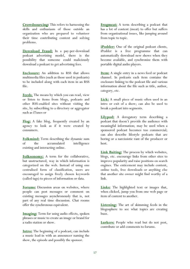**Crowdsourcing:** This refers to harnessing the skills and enthusiasm of those outside an organization who are prepared to volunteer their time contributing content and solving problems.

**Download Fraud:** In a pay-per-download podcast advertising model, there is the possibility that someone could maliciously download a podcast to get advertising fees.

**Enclosure:** An addition to RSS that allows multimedia files (such as those used in podcasts) to be included along with each item in an RSS file.

**Feeds**: The means by which you can read, view or listen to items from blogs, podcasts and other RSS-enabled sites without visiting the site, by subscribing to a directory or aggregator such as iTunes or

**Flog:** A fake blog, frequently created by an agency to look as if it were created by consumers.

**Folkmind:** Term describing the dynamic sum of the accumulated intelligence existing and interacting online.

**Folksonomy:** A term for the collaborative, but unstructured, way in which information is categorized on the web. Instead of using one centralised form of classification, users are encouraged to assign freely chosen keywords (called tags) to pieces of information or data.

**Forums:** Discussion areas on websites, where people can post messages or comment on existing messages asynchronously that is, not part of any real time discussion. Chat rooms offer the synchronous equivalent.

**Imaging:** Term for using audio effects, spoken phrases or music to create an image or brand for a radio station or show.

**Intro:** The beginning of a podcast; can include a music lead-in with an announcer naming the show, the episode and possibly the sponsor.

**Frogmeat:** A term describing a podcast that has a lot of content (meat) to offer but suffers from organizational issues, like jumping around from topic to topic.

**iPodder:** One of the original podcast clients, iPodder is a free programme that can automatically download new shows when they become available, and synchronize them with portable digital audio players.

**Item:** A single entry in a news feed or podcast channel. In podcasts each item contains the enclosure linking to the podcast file and various information about the file such as title, author, category, etc.

Lick: A small piece of music often used in an intro or exit of a show; can also be used to break a podcast into segments.

**Lilypod:** A derogatory term describing a podcast that doesn't provide the audience with meaningful information; may be used when a sponsored podcast becomes too commercial; can also describe lifestyle podcasts that are boring or a narcissistic rant of the producer or host.

**Link Baiting:** The process by which websites, blogs, etc. encourage links from other sites to improve popularity and raise positions on search engines. The enticement may include content, online tools, free downloads or anything else that another site owner might find worthy of a link.

**Links:** The highlighted text or images that, when clicked, jump you from one web page or item of content to another.

**Listening:** The art of skimming feeds in the blogosphere to see what topics are creating buzz.

**Lurkers:** People who read but do not post, contribute or add comments to forums.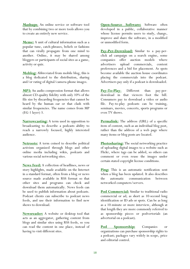**Mashups**: An online service or software tool that by combining two or more tools allows you to create an entirely new service.

**Meme:** A unit of cultural information such as a popular tune, catch-phrases, beliefs or fashions that can virally propagate from one mind to another. Online, it may be shared among bloggers or participants of social sites as a game, activity or quiz.

**Moblog:** Abbreviated from mobile blog, this is a blog dedicated to the distribution, sharing and/or rating of digital/camera-phone images.

**MP3:** An audio compression format that allows almost CD-quality fidelity with only 10% of the file size by discarding frequencies that cannot be heard by the human ear or that clash with similar frequencies. The name comes from MP (EG-1 layer) 3.

**Narrowcasting:** A term used in opposition to broadcasting to describe a podcasts ability to reach a narrowly focused, highly interested audience.

**Netroots:** A term coined to describe political activism organized through blogs and other online media including wikis, podcasts and various social networking sites.

**News Feed:** A collection of headlines, news or story highlights, made available on the Internet in a standard format, often from a blog or news source made available in RSS format so that other sites and programs can check and download them automatically. News feeds can be used to publish information about podcasts. Podcast clients can subscribe to podcast news feeds, and use their information to find new shows to download.

**Newsreader:** A website or desktop tool that acts as an aggregator, gathering content from blogs and similar sites using RSS feeds, so you can read the content in one place, instead of having to visit different sites.

**Open-Source Software:** Software often developed in a public, collaborative manner whose license permits users to study, change, improve and share the software, in a modified or unmodified form.

**Pay-Per-Download:** Similar to a pay-perclick ad campaign on a search engine, some companies offer auction models where advertisers upload commercials, content preferences and a bid for placement. As spots become available the auction house coordinates placing the commercials into the podcast. Advertisers pay only if a podcast is downloaded.

**Pay-To-Play**: Different than pay-perdownload in that viewers foot the bill. Consumers pay to download a video or audio file. Pay-to-play podcasts can be training, seminars, movies, concerts, sports programs or even TV shows.

**Permalink:** The address (URL) of a specific item of content, such as an individual blog post, rather than the address of a web page where many items or blog posts are located.

**Photosharing:** The social networking practice of uploading digital images to a website such as Flickr, where tags can be added, so others can comment or even reuse the images under certain stated copyright license conditions.

**Ping:** This is an automatic notification sent when a blog has been updated. It also describes the automatic communication between networked computers/servers.

**Pod Commercial:** Similar to traditional radio commercial or ad; as short as 10-second long identification or ID ads or spots. Can be as long as a 10-minute or more interview, although at that length they are more commonly referred to as sponsorship pieces or podvertorials (an advertorial on a podcast).

**Pod Sponsorship:** Companies or organizations can purchase sponsorship rights to a podcast; packages vary widely in scope, price and editorial control.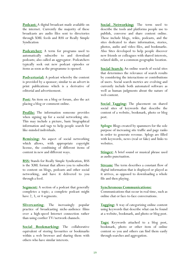**Podcast:** A digital broadcast made available on the internet. Currently the majority of these broadcasts are audio files sent to directories through XML feeds and RSS or Really Simple Syndication

**Podcatcher:** A term for programs used to automatically subscribe to and download podcasts; also called an aggregator. Podcatchers typically seek out new podcast episodes or items as soon as the programme is opened.

**Podvertorial:** A podcast whereby the content is provided by a sponsor; similar to an advert in print publications which is a derivative of editorial and advertisement.

Post: An item on a blog or forum, also the act placing a blog or comment online.

**Profile:** The information someone provides when signing up for a social networking site. This may include a picture, basic biographical information and tags to help people search for like-minded individuals.

**Remixing:** An aspect of social networking which allows, with appropriate copyright license, the combining of different items of content in new and different ways.

**RSS:** Stands for Really Simple Syndication, RSS is the XML format that allows you to subscribe to content on blogs, podcasts and other social networking, and have it delivered to you through a feed.

**Segment:** A section of a podcast that generally completes a topic; a complete podcast might have 2, 3, or 4 segments.

**Slivercasting**: The increasingly popular practice of broadcasting niche-audience films over a high-speed Internet connection rather than using costlier TV/network channels.

**Social Bookmarking:** The collaborative equivalent of storing favourites or bookmarks within a web browser and sharing them with others who have similar interests.

**Social Networking:** The term used to describe the tools and platforms people use to publish, converse and share content online. These include blogs, wikis, podcasts, and the sites dedicated to share information, stories, photos, audio and video files, and bookmarks. Also Sites developed to help people discover new friends or colleagues with shared interests, related skills, or a common geographic location.

**Social Search:** An online search of social sites that determines the relevance of search results by considering the interactions or contributions of users. Social search metrics are evolving and currently include both automated software as well as human judgments about the nature of web content.

**Social Tagging:** The placement on shared social sites of keywords that describe the content of a website, bookmark, photo or blog post.

**Splogs:** Blogs created by spammers for the sole purpose of increasing site traffic and page ranks in order to generate revenue. Splogs are filled with keywords, news (real or fake) and links to websites.

**Stinger:** A brief sound or musical phrase used as audio punctuation.

**Stream:** The term describes a constant flow of digital information that is displayed or played as it arrives, as opposed to downloading a whole file and then playing.

#### **Synchronous Communications:**

Communications that occur in real time, such as online chat or face-to-face conversations.

**Tagging:** A way of categorizing online content using keywords that describe what can be found at a website, bookmark, and photo or blog post.

**Tags:** Keywords attached to a blog post, bookmark, photo or other item of online content so you and others can find them easily through searches and aggregation.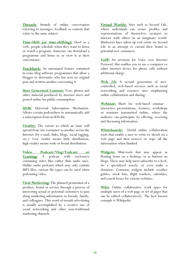**Threads:** Strands of online conversation referring to messages, feedback or content that relate to the same subject.

**Time-Shift (or time-shifting):** Used as a verb, people schedule when they want to listen or watch a program. Someone can download a programme and listen to or view it at their convenience.

**Trackback:** An automated feature contained in some blog software programmes that allow a blogger to determine who has seen an original post and written another concerning it.

**User Generated Content:** Text, photos and other material produced by internet users and posted online for public consumption.

**USM:** Universal Subscription Mechanism. Allows certain podcatchers to automatically add a subscription from an RSS file.

**Virality:** The extent to which an issue will spread from one consumer to another across the Internet (by e-mail, links, blogs, social tagging, etc.). Low virality means little distribution; high virality means wide or broad distribution.

**<u>Video Podcast/Vlog/Vodcast</u> Vcasting:** A podcast with enclosures containing video files rather than audio ones. Unlike audio podcasts which may only contain MP3 files, various file types can be used when podcasting video.

**Viral Marketing:** The planned promotion of a product, brand or service through a process of interesting actual or potential customers to pass along marketing information to friends, family, and colleagues. This word-of-mouth advertising is usually accomplished by a creative use of social networking and other non-traditional marketing channels.

**Virtual Worlds**: Sites such as Second Life, where individuals can create profiles and representations of themselves (avatars) to interact with others in an imaginary world. Marketers have taken up real estate on Second Life in an attempt to extend their brand to potential new customers.

**VoIP:** An acronym for Voice over Internet Protocol, this enables you to use a computer or other internet device for phone calls without additional charge.

**Web 2.0:** A second generation of usercontrolled, web-based services such as social networking and resource sites emphasising online collaboration and sharing.

**Webinar:** Short for web-based seminar interactive presentations, lectures, workshops or seminars transmitted online, where the audience can participate by offering, receiving and discussing information.

**Whiteboards:** Useful online collaboration tools that enable a user to write or sketch on a web page and then remove or wipe off the information when finished.

**Widgets:** Mini-tools that may appear as floating items on a desktop, or as buttons on blogs. These may help users subscribe to a feed, do a specialized search, or even make a donation. Common widgets include weather guides, stock lists, flight trackers, calendars, and search boxes for various websites.

**Wiki:** Online collaborative work space for multiple users of a web page or set of pages that can be edited collaboratively. The best known example is Wikipedia.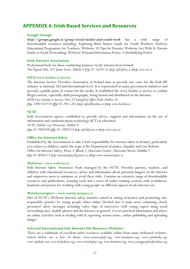### **APPENDIX 4: Irish Based Services and Resources**

#### **Google Groups**

*http://groups.google.ie/group/social-media-and-youth-work* has a wide range of downloadable resources including: Exploring Bebo Starter Guide for Youth Workers; Surfwise Educational Programme for Teachers; Webwise 10 Tips for Parents; Webwise Get With It: Parents Guide to Social Networking; Webwise Personal Information Poster; Cyberbullying Poster.

#### **Irish Internet Association**

Professional body for those conducting business via the internet from Ireland. *The Digital Hub, 101 James Street, Dublin 8 (t): 01 5424154 (e): info@iia.ie (w): www.iia.ie* 

#### *ISPAI www.hotline.ie Service*

The Internet Service Providers Association of Ireland aims to provide one voice for the Irish ISP industry at national, EU and International level. It is represented at many government initiatives and provides a public point of contact for the media. It established the www.hotline.ie service to combat illegal content, especially child pornography, being hosted and distributed on the Internet.

*ISPAI www.hotline.ie Service, Unit 24 Sandyford Office Park, Dublin 18. (t): 1890 610710 (f): 01 294 5282 (e): info@hotline.ie (w): www.hotline.ie* 

#### **NCTE**

Irish Government agency established to provide advice, support and information on the use of information and communications technology (ICT) in education.

*NCTE, Dublin City University, Dublin 9. (t): 01 7008200 (f): 01 7008210 (e): info@ncte.ie (w): www.ncte.ie* 

#### **Office for Internet Safety**

Established by the Government to take a lead responsibility for internet safety in Ireland, particularly as it relates to children, under the aegis of the Department of Justice, Equality and Law Reform Office for Internet Safety, Floor 3, Block 2, Harcourt Centre, Harcourt Street, Dublin 2 *(t): 01 4086122 (e): internetsafety@justice.ie (w): www.internetsafety.ie* 

#### **Webwise -** *www.webwise.ie*

Irish Internet Safety Awareness Node managed by the NCTE. Provides parents, teachers, and children with educational resources, advice and information about potential dangers on the Internet and empowers users to minimise or avoid these risks. Contains an extensive range of downloadable resources and publications, learning tools and a series of online training sessions with worksheets, handouts and posters for working with young people on different aspects of safe Internet use

#### **Watchyourspace -** *www.watchyourspace.ie*

Part of NCTE's Webwise Internet safety initiative aimed at raising awareness and promoting safe, responsible practice by young people when online Divided into 6 main areas containing clearly presented safety messages including video clips of interviews with young expert using social networking sites, mobile phones and the Internet in general. Covers practical information and advice on online activities such as dealing with & reporting serious issues, online publishing and uploading images.

#### **Selected International Safe Internet Use Resource Websites**

There are a multitude of excellent safety resources available online from many dedicated websites. Listed below are a few of them: *www.connectsafely.org; www.netsmartz.org; www.cyberbully.org; www.safekids.com; www.haltabuse.org; www.wiredsafety.org; www.kidsmart.org; www.youngpeoplesafeonline.org*